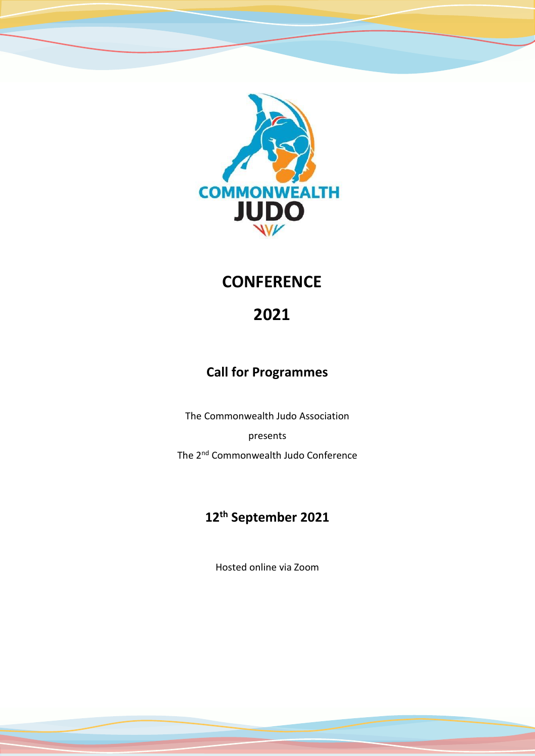

# **CONFERENCE**

# **2021**

### **Call for Programmes**

The Commonwealth Judo Association

presents

The 2nd Commonwealth Judo Conference

## **12th September 2021**

Hosted online via Zoom